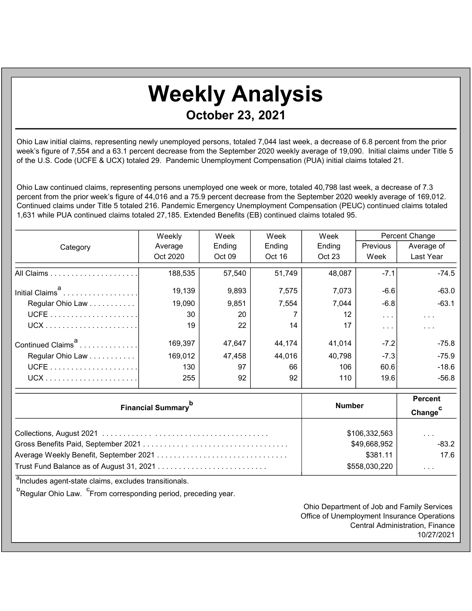## Weekly Analysis October 23, 2021

Ohio Law initial claims, representing newly unemployed persons, totaled 7,044 last week, a decrease of 6.8 percent from the prior week's figure of 7,554 and a 63.1 percent decrease from the September 2020 weekly average of 19,090. Initial claims under Title 5 of the U.S. Code (UCFE & UCX) totaled 29. Pandemic Unemployment Compensation (PUA) initial claims totaled 21.

Ohio Law continued claims, representing persons unemployed one week or more, totaled 40,798 last week, a decrease of 7.3 percent from the prior week's figure of 44,016 and a 75.9 percent decrease from the September 2020 weekly average of 169,012. Continued claims under Title 5 totaled 216. Pandemic Emergency Unemployment Compensation (PEUC) continued claims totaled 1,631 while PUA continued claims totaled 27,185. Extended Benefits (EB) continued claims totaled 95.

|                               | Weekly   | Week   | Week   | Week   | Percent Change          |                         |
|-------------------------------|----------|--------|--------|--------|-------------------------|-------------------------|
| Category                      | Average  | Ending | Ending | Ending | <b>Previous</b>         | Average of              |
|                               | Oct 2020 | Oct 09 | Oct 16 | Oct 23 | Week                    | Last Year               |
|                               | 188,535  | 57,540 | 51,749 | 48,087 | $-7.1$                  | $-74.5$                 |
| Initial Claims <sup>a</sup>   | 19,139   | 9,893  | 7,575  | 7,073  | $-6.6$                  | $-63.0$                 |
| Regular Ohio Law              | 19,090   | 9,851  | 7,554  | 7,044  | $-6.8$                  | $-63.1$                 |
|                               | 30       | 20     |        | 12     | $\sim$ $\sim$ $\sim$    | $\sim$ $\sim$ $\sim$    |
|                               | 19       | 22     | 14     | 17     | $\cdot$ $\cdot$ $\cdot$ | $\cdot$ $\cdot$ $\cdot$ |
| Continued Claims <sup>a</sup> | 169,397  | 47,647 | 44,174 | 41,014 | $-7.2$                  | $-75.8$                 |
| Regular Ohio Law              | 169,012  | 47,458 | 44,016 | 40,798 | $-7.3$                  | $-75.9$                 |
|                               | 130      | 97     | 66     | 106    | 60.6                    | $-18.6$                 |
|                               | 255      | 92     | 92     | 110    | 19.6                    | $-56.8$                 |

| <b>Financial Summary</b> <sup>p</sup> | <b>Number</b> | <b>Percent</b><br>Change <sup>C</sup> |  |
|---------------------------------------|---------------|---------------------------------------|--|
|                                       | \$106,332,563 | $\cdot$ $\cdot$ $\cdot$               |  |
|                                       | \$49,668,952  | $-83.2$                               |  |
|                                       | \$381.11      | 17.6                                  |  |
|                                       | \$558,030,220 | $\cdot$ $\cdot$ $\cdot$               |  |

<sup>a</sup>Includes agent-state claims, excludes transitionals.

<sup>b</sup>Regular Ohio Law. <sup>c</sup>From corresponding period, preceding year.

Ohio Department of Job and Family Services Office of Unemployment Insurance Operations Central Administration, Finance 10/27/2021